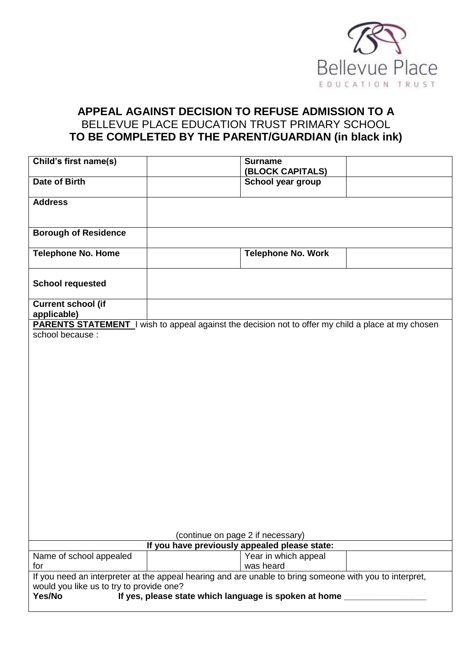

# **APPEAL AGAINST DECISION TO REFUSE ADMISSION TO A**  BELLEVUE PLACE EDUCATION TRUST PRIMARY SCHOOL **TO BE COMPLETED BY THE PARENT/GUARDIAN (in black ink)**

| Child's first name(s)                                                                                                                               | <b>Surname</b>            |  |
|-----------------------------------------------------------------------------------------------------------------------------------------------------|---------------------------|--|
|                                                                                                                                                     | (BLOCK CAPITALS)          |  |
| Date of Birth                                                                                                                                       | School year group         |  |
| <b>Address</b>                                                                                                                                      |                           |  |
|                                                                                                                                                     |                           |  |
| <b>Borough of Residence</b>                                                                                                                         |                           |  |
| <b>Telephone No. Home</b>                                                                                                                           | <b>Telephone No. Work</b> |  |
| <b>School requested</b>                                                                                                                             |                           |  |
| <b>Current school (if</b><br>applicable)                                                                                                            |                           |  |
|                                                                                                                                                     |                           |  |
| <b>PARENTS STATEMENT</b> I wish to appeal against the decision not to offer my child a place at my chosen<br>school because :                       |                           |  |
|                                                                                                                                                     |                           |  |
|                                                                                                                                                     |                           |  |
|                                                                                                                                                     |                           |  |
|                                                                                                                                                     |                           |  |
|                                                                                                                                                     |                           |  |
|                                                                                                                                                     |                           |  |
|                                                                                                                                                     |                           |  |
|                                                                                                                                                     |                           |  |
|                                                                                                                                                     |                           |  |
|                                                                                                                                                     |                           |  |
|                                                                                                                                                     |                           |  |
|                                                                                                                                                     |                           |  |
|                                                                                                                                                     |                           |  |
|                                                                                                                                                     |                           |  |
|                                                                                                                                                     |                           |  |
|                                                                                                                                                     |                           |  |
|                                                                                                                                                     |                           |  |
|                                                                                                                                                     |                           |  |
| (continue on page 2 if necessary)                                                                                                                   |                           |  |
| If you have previously appealed please state:                                                                                                       |                           |  |
| Name of school appealed                                                                                                                             | Year in which appeal      |  |
| for                                                                                                                                                 | was heard                 |  |
| If you need an interpreter at the appeal hearing and are unable to bring someone with you to interpret,<br>would you like us to try to provide one? |                           |  |
| If yes, please state which language is spoken at home _______________<br>Yes/No                                                                     |                           |  |
|                                                                                                                                                     |                           |  |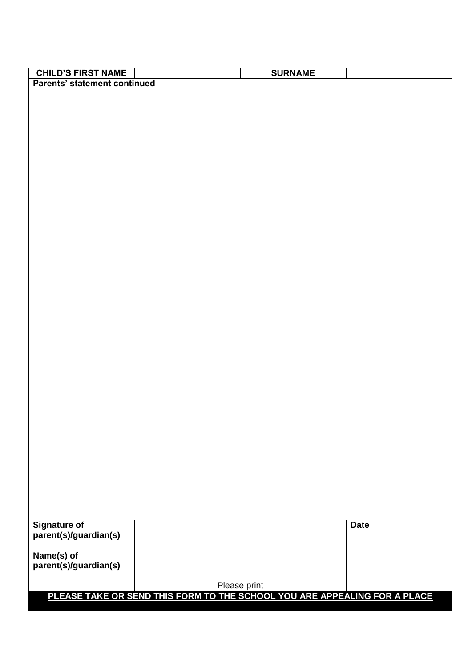| <b>CHILD'S FIRST NAME</b>                                                 | <b>SURNAME</b> |             |
|---------------------------------------------------------------------------|----------------|-------------|
| Parents' statement continued                                              |                |             |
|                                                                           |                |             |
|                                                                           |                |             |
|                                                                           |                |             |
|                                                                           |                |             |
|                                                                           |                |             |
|                                                                           |                |             |
|                                                                           |                |             |
|                                                                           |                |             |
|                                                                           |                |             |
|                                                                           |                |             |
|                                                                           |                |             |
|                                                                           |                |             |
|                                                                           |                |             |
|                                                                           |                |             |
|                                                                           |                |             |
|                                                                           |                |             |
|                                                                           |                |             |
|                                                                           |                |             |
|                                                                           |                |             |
|                                                                           |                |             |
|                                                                           |                |             |
|                                                                           |                |             |
|                                                                           |                |             |
|                                                                           |                |             |
|                                                                           |                |             |
|                                                                           |                |             |
|                                                                           |                |             |
|                                                                           |                |             |
|                                                                           |                |             |
|                                                                           |                |             |
|                                                                           |                |             |
|                                                                           |                |             |
|                                                                           |                |             |
|                                                                           |                |             |
|                                                                           |                |             |
|                                                                           |                |             |
|                                                                           |                |             |
| <b>Signature of</b>                                                       |                | <b>Date</b> |
| parent(s)/guardian(s)                                                     |                |             |
|                                                                           |                |             |
| Name(s) of                                                                |                |             |
| parent(s)/guardian(s)                                                     |                |             |
|                                                                           |                |             |
|                                                                           | Please print   |             |
| PLEASE TAKE OR SEND THIS FORM TO THE SCHOOL YOU ARE APPEALING FOR A PLACE |                |             |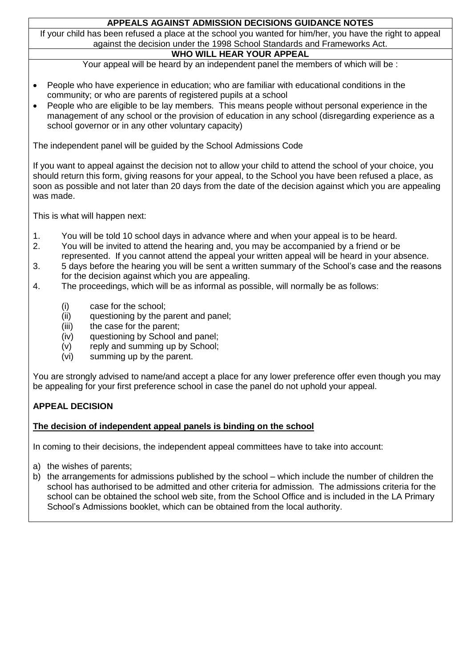## **APPEALS AGAINST ADMISSION DECISIONS GUIDANCE NOTES**

If your child has been refused a place at the school you wanted for him/her, you have the right to appeal against the decision under the 1998 School Standards and Frameworks Act.

## **WHO WILL HEAR YOUR APPEAL**

Your appeal will be heard by an independent panel the members of which will be :

- People who have experience in education; who are familiar with educational conditions in the community; or who are parents of registered pupils at a school
- People who are eligible to be lay members. This means people without personal experience in the management of any school or the provision of education in any school (disregarding experience as a school governor or in any other voluntary capacity)

The independent panel will be guided by the School Admissions Code

If you want to appeal against the decision not to allow your child to attend the school of your choice, you should return this form, giving reasons for your appeal, to the School you have been refused a place, as soon as possible and not later than 20 days from the date of the decision against which you are appealing was made.

This is what will happen next:

- 1. You will be told 10 school days in advance where and when your appeal is to be heard.
- 2. You will be invited to attend the hearing and, you may be accompanied by a friend or be represented. If you cannot attend the appeal your written appeal will be heard in your absence.
- 3. 5 days before the hearing you will be sent a written summary of the School's case and the reasons for the decision against which you are appealing.
- 4. The proceedings, which will be as informal as possible, will normally be as follows:
	- (i) case for the school;<br>(ii) guestioning by the p
	- questioning by the parent and panel;
	- (iii) the case for the parent;
	- (iv) questioning by School and panel;
	- (v) reply and summing up by School;
	- (vi) summing up by the parent.

You are strongly advised to name/and accept a place for any lower preference offer even though you may be appealing for your first preference school in case the panel do not uphold your appeal.

### **APPEAL DECISION**

### **The decision of independent appeal panels is binding on the school**

In coming to their decisions, the independent appeal committees have to take into account:

- a) the wishes of parents;
- b) the arrangements for admissions published by the school which include the number of children the school has authorised to be admitted and other criteria for admission. The admissions criteria for the school can be obtained the school web site, from the School Office and is included in the LA Primary School's Admissions booklet, which can be obtained from the local authority.